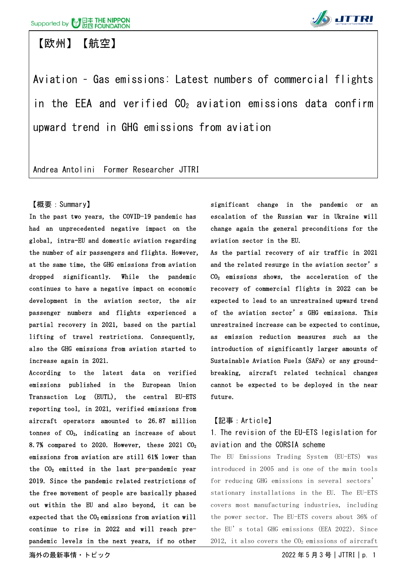### 【欧州】【航空】



Aviation – Gas emissions: Latest numbers of commercial flights in the EEA and verified  $CO<sub>2</sub>$  aviation emissions data confirm upward trend in GHG emissions from aviation

Andrea Antolini Former Researcher JTTRI

#### 【概要:Summary】

In the past two years, the COVID-19 pandemic has had an unprecedented negative impact on the global, intra-EU and domestic aviation regarding the number of air passengers and flights. However, at the same time, the GHG emissions from aviation dropped significantly. While the pandemic continues to have a negative impact on economic development in the aviation sector, the air passenger numbers and flights experienced a partial recovery in 2021, based on the partial lifting of travel restrictions. Consequently, also the GHG emissions from aviation started to increase again in 2021.

According to the latest data on verified emissions published in the European Union Transaction Log (EUTL), the central EU-ETS reporting tool, in 2021, verified emissions from aircraft operators amounted to 26.87 million tonnes of  $CO<sub>2</sub>$ , indicating an increase of about 8.7% compared to 2020. However, these 2021  $CO<sub>2</sub>$ emissions from aviation are still 61% lower than the  $CO<sub>2</sub>$  emitted in the last pre-pandemic year 2019. Since the pandemic related restrictions of the free movement of people are basically phased out within the EU and also beyond, it can be expected that the  $CO<sub>2</sub>$  emissions from aviation will continue to rise in 2022 and will reach prepandemic levels in the next years, if no other significant change in the pandemic or an escalation of the Russian war in Ukraine will change again the general preconditions for the aviation sector in the EU.

As the partial recovery of air traffic in 2021 and the related resurge in the aviation sector's  $CO<sub>2</sub>$  emissions shows, the acceleration of the recovery of commercial flights in 2022 can be expected to lead to an unrestrained upward trend of the aviation sector's GHG emissions. This unrestrained increase can be expected to continue, as emission reduction measures such as the introduction of significantly larger amounts of Sustainable Aviation Fuels (SAFs) or any groundbreaking, aircraft related technical changes cannot be expected to be deployed in the near future.

### 【記事:Article】

### 1. The revision of the EU-ETS legislation for aviation and the CORSIA scheme

The EU Emissions Trading System (EU-ETS) was introduced in 2005 and is one of the main tools for reducing GHG emissions in several sectors' stationary installations in the EU. The EU-ETS covers most manufacturing industries, including the power sector. The EU-ETS covers about 36% of the EU's total GHG emissions (EEA 2022). Since 2012, it also covers the  $CO<sub>2</sub>$  emissions of aircraft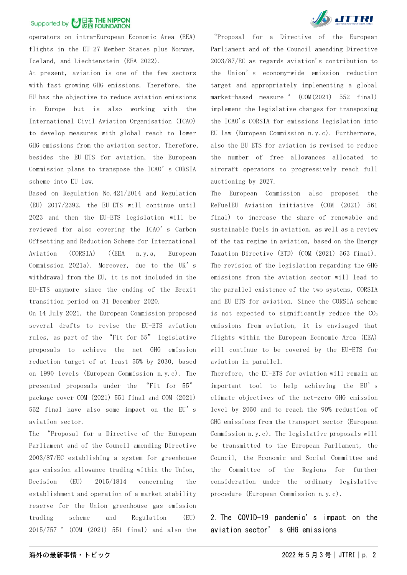### Supported by 7 日本 THE NIPPON

operators on intra-European Economic Area (EEA) flights in the EU-27 Member States plus Norway, Iceland, and Liechtenstein (EEA 2022).

At present, aviation is one of the few sectors with fast-growing GHG emissions. Therefore, the EU has the objective to reduce aviation emissions in Europe but is also working with the International Civil Aviation Organisation (ICAO) to develop measures with global reach to lower GHG emissions from the aviation sector. Therefore, besides the EU-ETS for aviation, the European Commission plans to transpose the ICAO's CORSIA scheme into EU law.

Based on Regulation No.421/2014 and Regulation (EU) 2017/2392, the EU-ETS will continue until 2023 and then the EU-ETS legislation will be reviewed for also covering the ICAO's Carbon Offsetting and Reduction Scheme for International Aviation (CORSIA) ((EEA n.y.a, European Commission 2021a). Moreover, due to the UK's withdrawal from the EU, it is not included in the EU-ETS anymore since the ending of the Brexit transition period on 31 December 2020.

On 14 July 2021, the European Commission proposed several drafts to revise the EU-ETS aviation rules, as part of the "Fit for 55" legislative proposals to achieve the net GHG emission reduction target of at least 55% by 2030, based on 1990 levels (European Commission n.y.c). The presented proposals under the "Fit for 55" package cover COM (2021) 551 final and COM (2021) 552 final have also some impact on the EU's aviation sector.

The "Proposal for a Directive of the European Parliament and of the Council amending Directive 2003/87/EC establishing a system for greenhouse gas emission allowance trading within the Union, Decision (EU) 2015/1814 concerning the establishment and operation of a market stability reserve for the Union greenhouse gas emission trading scheme and Regulation (EU) 2015/757" (COM (2021) 551 final) and also the



"Proposal for a Directive of the European Parliament and of the Council amending Directive 2003/87/EC as regards aviation's contribution to the Union's economy-wide emission reduction target and appropriately implementing a global market-based measure " (COM(2021) 552 final) implement the legislative changes for transposing the ICAO's CORSIA for emissions legislation into EU law (European Commission n.y.c). Furthermore, also the EU-ETS for aviation is revised to reduce the number of free allowances allocated to aircraft operators to progressively reach full auctioning by 2027.

The European Commission also proposed the ReFuelEU Aviation initiative (COM (2021) 561 final) to increase the share of renewable and sustainable fuels in aviation, as well as a review of the tax regime in aviation, based on the Energy Taxation Directive (ETD) (COM (2021) 563 final). The revision of the legislation regarding the GHG emissions from the aviation sector will lead to the parallel existence of the two systems, CORSIA and EU-ETS for aviation. Since the CORSIA scheme is not expected to significantly reduce the  $CO<sub>2</sub>$ emissions from aviation, it is envisaged that flights within the European Economic Area (EEA) will continue to be covered by the EU-ETS for aviation in parallel.

Therefore, the EU-ETS for aviation will remain an important tool to help achieving the EU's climate objectives of the net-zero GHG emission level by 2050 and to reach the 90% reduction of GHG emissions from the transport sector (European Commission n.y.c). The legislative proposals will be transmitted to the European Parliament, the Council, the Economic and Social Committee and the Committee of the Regions for further consideration under the ordinary legislative procedure (European Commission n.y.c).

2. The COVID-19 pandemic's impact on the aviation sector' s GHG emissions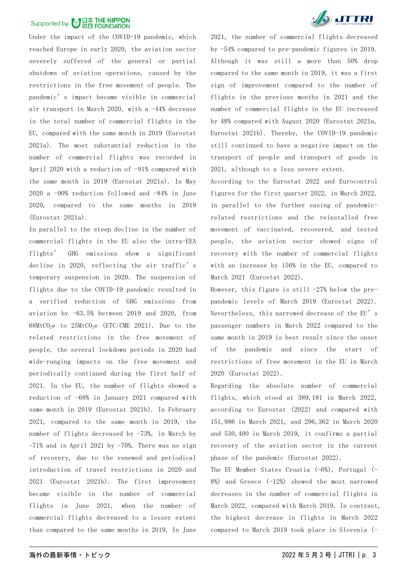## Supported by 7日本 THE NIPPON

Under the impact of the COVID-19 pandemic, which reached Europe in early 2020, the aviation sector severely suffered of the general or partial shutdown of aviation operations, caused by the restrictions in the free movement of people. The pandemic's impact became visible in commercial air transport in March 2020, with a -44% decrease in the total number of commercial flights in the EU, compared with the same month in 2019 (Eurostat 2021a). The most substantial reduction in the number of commercial flights was recorded in April 2020 with a reduction of -91% compared with the same month in 2019 (Eurostat 2021a). In May 2020 a -90% reduction followed and -84% in June 2020, compared to the same months in 2019 (Eurostat 2021a).

In parallel to the steep decline in the number of commercial flights in the EU also the intra-EEA flights' GHG emissions show a significant decline in 2020, reflecting the air traffic's temporary suspension in 2020. The suspension of flights due to the COVID-19 pandemic resulted in a verified reduction of GHG emissions from aviation by -63.5% between 2019 and 2020, from  $68$ MtCO<sub>2</sub>e to  $25$ MtCO<sub>2</sub>e (ETC/CME 2021). Due to the related restrictions in the free movement of people, the several lockdown periods in 2020 had wide-ranging impacts on the free movement and periodically continued during the first half of 2021. In the EU, the number of flights showed a reduction of -68% in January 2021 compared with same month in 2019 (Eurostat 2021b). In February 2021, compared to the same month in 2019, the number of flights decreased by -73%, in March by  $-71\%$  and in April 2021 by  $-70\%$ . There was no sign of recovery, due to the renewed and periodical introduction of travel restrictions in 2020 and 2021 (Eurostat 2021b). The first improvement became visible in the number of commercial flights in June 2021, when the number of commercial flights decreased to a lesser extent than compared to the same months in 2019. In June



2021, the number of commercial flights decreased by -54% compared to pre-pandemic figures in 2019. Although it was still a more than 50% drop compared to the same month in 2019, it was a first sign of improvement compared to the number of flights in the previous months in 2021 and the number of commercial flights in the EU increased by 48% compared with August 2020 (Eurostat 2021a, Eurostat 2021b). Thereby, the COVID-19 pandemic still continued to have a negative impact on the transport of people and transport of goods in 2021, although to a less severe extent.

According to the Eurostat 2022 and Eurocontrol figures for the first quarter 2022, in March 2022, in parallel to the further easing of pandemicrelated restrictions and the reinstalled free movement of vaccinated, recovered, and tested people, the aviation sector showed signs of recovery with the number of commercial flights with an increase by 156% in the EU, compared to March 2021 (Eurostat 2022).

However, this figure is still  $-27%$  below the prepandemic levels of March 2019 (Eurostat 2022). Nevertheless, this narrowed decrease of the EU's passenger numbers in March 2022 compared to the same month in 2019 is best result since the onset of the pandemic and since the start of restrictions of free movement in the EU in March 2020 (Eurostat 2022).

Regarding the absolute number of commercial flights, which stood at 389,181 in March 2022, according to Eurostat (2022) and compared with 151,986 in March 2021, and 296,362 in March 2020 and 530,400 in March 2019, it confirms a partial recovery of the aviation sector in the current phase of the pandemic (Eurostat 2022).

The EU Member States Croatia  $(-6%)$ , Portugal  $(-7)$  $8\%$ ) and Greece  $(-12\%)$  showed the most narrowed decreases in the number of commercial flights in March 2022, compared with March 2019. In contrast, the highest decrease in flights in March 2022 compared to March 2019 took place in Slovenia (-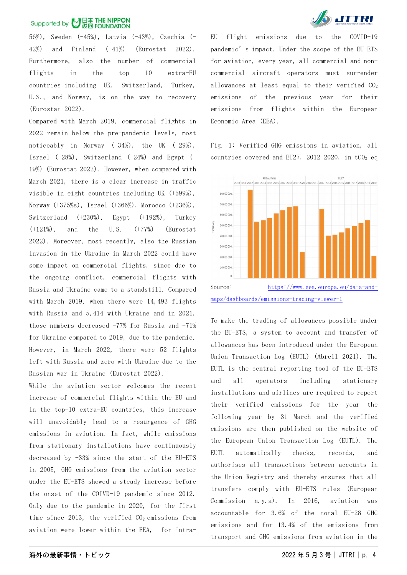# Supported by **3 日本 THE NIPPON**

56%), Sweden (-45%), Latvia (-43%), Czechia (- 42%) and Finland (-41%) (Eurostat 2022). Furthermore, also the number of commercial flights in the top 10 extra-EU countries including UK, Switzerland, Turkey, U.S., and Norway, is on the way to recovery (Eurostat 2022).

Compared with March 2019, commercial flights in 2022 remain below the pre-pandemic levels, most noticeably in Norway  $(-34%)$ , the UK  $(-29%)$ , Israel (-28%), Switzerland (-24%) and Egypt (-19%) (Eurostat 2022). However, when compared with March 2021, there is a clear increase in traffic visible in eight countries including UK (+599%), Norway (+375%s), Israel (+366%), Morocco (+236%), Switzerland (+230%), Egypt (+192%), Turkey (+121%), and the U.S. (+77%) (Eurostat 2022). Moreover, most recently, also the Russian invasion in the Ukraine in March 2022 could have some impact on commercial flights, since due to the ongoing conflict, commercial flights with Russia and Ukraine came to a standstill. Compared with March 2019, when there were 14,493 flights with Russia and 5,414 with Ukraine and in 2021, those numbers decreased -77% for Russia and -71% for Ukraine compared to 2019, due to the pandemic. However, in March 2022, there were 52 flights left with Russia and zero with Ukraine due to the Russian war in Ukraine (Eurostat 2022).

While the aviation sector welcomes the recent increase of commercial flights within the EU and in the top-10 extra-EU countries, this increase will unavoidably lead to a resurgence of GHG emissions in aviation. In fact, while emissions from stationary installations have continuously decreased by -33% since the start of the EU-ETS in 2005, GHG emissions from the aviation sector under the EU-ETS showed a steady increase before the onset of the COIVD-19 pandemic since 2012. Only due to the pandemic in 2020, for the first time since 2013, the verified  $CO<sub>2</sub>$  emissions from aviation were lower within the EEA, for intra-



EU flight emissions due to the COVID-19 pandemic's impact. Under the scope of the EU-ETS for aviation, every year, all commercial and noncommercial aircraft operators must surrender allowances at least equal to their verified CO<sub>2</sub> emissions of the previous year for their emissions from flights within the European Economic Area (EEA).

Fig. 1: Verified GHG emissions in aviation, all countries covered and EU27, 2012-2020, in  $tCO<sub>2</sub>$ -eq



To make the trading of allowances possible under the EU-ETS, a system to account and transfer of allowances has been introduced under the European Union Transaction Log (EUTL) (Abrell 2021). The EUTL is the central reporting tool of the EU-ETS and all operators including stationary installations and airlines are required to report their verified emissions for the year the following year by 31 March and the verified emissions are then published on the website of the European Union Transaction Log (EUTL). The EUTL automatically checks, records, and authorises all transactions between accounts in the Union Registry and thereby ensures that all transfers comply with EU-ETS rules (European Commission n.y.a). In 2016, aviation was accountable for 3.6% of the total EU-28 GHG emissions and for 13.4% of the emissions from transport and GHG emissions from aviation in the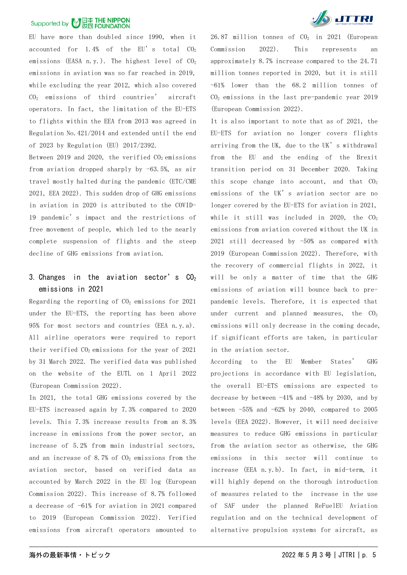## Supported by 7 日本 THE NIPPON

EU have more than doubled since 1990, when it accounted for  $1.4%$  of the EU's total  $CO<sub>2</sub>$ emissions (EASA n.y.). The highest level of  $CO<sub>2</sub>$ emissions in aviation was so far reached in 2019, while excluding the year 2012, which also covered CO2 emissions of third countries' aircraft operators. In fact, the limitation of the EU-ETS to flights within the EEA from 2013 was agreed in Regulation No.421/2014 and extended until the end of 2023 by Regulation (EU) 2017/2392.

Between 2019 and 2020, the verified  $CO<sub>2</sub>$  emissions from aviation dropped sharply by -63.5%, as air travel mostly halted during the pandemic (ETC/CME 2021, EEA 2022). This sudden drop of GHG emissions in aviation in 2020 is attributed to the COVID-19 pandemic's impact and the restrictions of free movement of people, which led to the nearly complete suspension of flights and the steep decline of GHG emissions from aviation.

### 3. Changes in the aviation sector's  $CO<sub>2</sub>$ emissions in 2021

Regarding the reporting of  $CO<sub>2</sub>$  emissions for 2021 under the EU-ETS, the reporting has been above 95% for most sectors and countries (EEA n.y.a). All airline operators were required to report their verified CO<sub>2</sub> emissions for the year of 2021 by 31 March 2022. The verified data was published on the website of the EUTL on 1 April 2022 (European Commission 2022).

In 2021, the total GHG emissions covered by the EU-ETS increased again by 7.3% compared to 2020 levels. This 7.3% increase results from an 8.3% increase in emissions from the power sector, an increase of 5.2% from main industrial sectors, and an increase of 8.7% of  $CO<sub>2</sub>$  emissions from the aviation sector, based on verified data as accounted by March 2022 in the EU log (European Commission 2022). This increase of 8.7% followed a decrease of -61% for aviation in 2021 compared to 2019 (European Commission 2022). Verified emissions from aircraft operators amounted to



26.87 million tonnes of  $CO<sub>2</sub>$  in 2021 (European Commission 2022). This represents an approximately 8.7% increase compared to the 24.71 million tonnes reported in 2020, but it is still -61% lower than the 68.2 million tonnes of CO2 emissions in the last pre-pandemic year 2019 (European Commission 2022).

It is also important to note that as of 2021, the EU-ETS for aviation no longer covers flights arriving from the UK, due to the UK's withdrawal from the EU and the ending of the Brexit transition period on 31 December 2020. Taking this scope change into account, and that  $CO<sub>2</sub>$ emissions of the UK's aviation sector are no longer covered by the EU-ETS for aviation in 2021, while it still was included in 2020, the  $CO<sub>2</sub>$ emissions from aviation covered without the UK in 2021 still decreased by -50% as compared with 2019 (European Commission 2022). Therefore, with the recovery of commercial flights in 2022, it will be only a matter of time that the GHG emissions of aviation will bounce back to prepandemic levels. Therefore, it is expected that under current and planned measures, the  $CO<sub>2</sub>$ emissions will only decrease in the coming decade, if significant efforts are taken, in particular in the aviation sector.

According to the EU Member States' GHG projections in accordance with EU legislation, the overall EU-ETS emissions are expected to decrease by between  $-41\%$  and  $-48\%$  by 2030, and by between  $-55\%$  and  $-62\%$  by 2040, compared to 2005 levels (EEA 2022). However, it will need decisive measures to reduce GHG emissions in particular from the aviation sector as otherwise, the GHG emissions in this sector will continue increase (EEA n.y.b). In fact, in mid-term, it will highly depend on the thorough introduction of measures related to the increase in the use of SAF under the planned ReFuelEU Aviation regulation and on the technical development of alternative propulsion systems for aircraft, as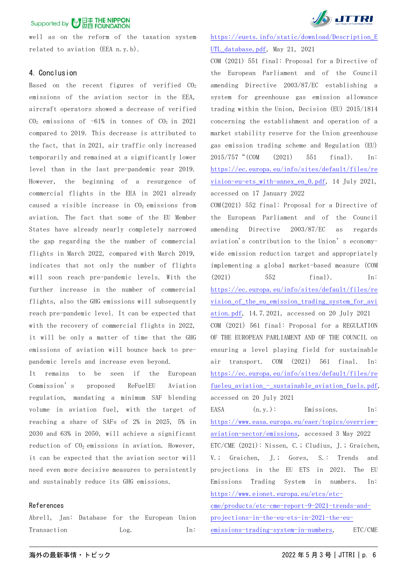well as on the reform of the taxation system related to aviation (EEA n.y.b).

#### 4. Conclusion

Based on the recent figures of verified  $CO<sub>2</sub>$ emissions of the aviation sector in the EEA, aircraft operators showed a decrease of verified  $CO<sub>2</sub>$  emissions of -61% in tonnes of  $CO<sub>2</sub>$  in 2021 compared to 2019. This decrease is attributed to the fact, that in 2021, air traffic only increased temporarily and remained at a significantly lower level than in the last pre-pandemic year 2019. However, the beginning of a resurgence of commercial flights in the EEA in 2021 already caused a visible increase in  $CO<sub>2</sub>$  emissions from aviation. The fact that some of the EU Member States have already nearly completely narrowed the gap regarding the the number of commercial flights in March 2022, compared with March 2019, indicates that not only the number of flights will soon reach pre-pandemic levels. With the further increase in the number of commercial flights, also the GHG emissions will subsequently reach pre-pandemic level. It can be expected that with the recovery of commercial flights in 2022, it will be only a matter of time that the GHG emissions of aviation will bounce back to prepandemic levels and increase even beyond.

It remains to be seen if the European Commission's proposed ReFuelEU Aviation regulation, mandating a minimum SAF blending volume in aviation fuel, with the target of reaching a share of SAFs of 2% in 2025, 5% in 2030 and 63% in 2050, will achieve a significant reduction of  $CO<sub>2</sub>$  emissions in aviation. However, it can be expected that the aviation sector will need even more decisive measures to persistently and sustainably reduce its GHG emissions.

#### References

Abrell, Jan: Database for the European Union Transaction Log. In:



[https://euets.info/static/download/Description\\_E](https://euets.info/static/download/Description_EUTL_database.pdf) [UTL\\_database.pdf,](https://euets.info/static/download/Description_EUTL_database.pdf) May 21, 2021

COM (2021) 551 final: Proposal for a Directive of the European Parliament and of the Council amending Directive 2003/87/EC establishing a system for greenhouse gas emission allowance trading within the Union, Decision (EU) 2015/1814 concerning the establishment and operation of a market stability reserve for the Union greenhouse gas emission trading scheme and Regulation (EU) 2015/757"(COM (2021) 551 final). In: [https://ec.europa.eu/info/sites/default/files/re](https://ec.europa.eu/info/sites/default/files/revision-eu-ets_with-annex_en_0.pdf) [vision-eu-ets\\_with-annex\\_en\\_0.pdf,](https://ec.europa.eu/info/sites/default/files/revision-eu-ets_with-annex_en_0.pdf) 14 July 2021, accessed on 17 January 2022

COM(2021) 552 final: Proposal for a Directive of the European Parliament and of the Council amending Directive 2003/87/EC as regards aviation's contribution to the Union's economywide emission reduction target and appropriately implementing a global market-based measure (COM (2021) 552 final). In: [https://ec.europa.eu/info/sites/default/files/re](https://ec.europa.eu/info/sites/default/files/revision_of_the_eu_emission_trading_system_for_aviation.pdf) [vision\\_of\\_the\\_eu\\_emission\\_trading\\_system\\_for\\_avi](https://ec.europa.eu/info/sites/default/files/revision_of_the_eu_emission_trading_system_for_aviation.pdf) [ation.pdf,](https://ec.europa.eu/info/sites/default/files/revision_of_the_eu_emission_trading_system_for_aviation.pdf) 14.7.2021, accessed on 20 July 2021 COM (2021) 561 final: Proposal for a REGULATION OF THE EUROPEAN PARLIAMENT AND OF THE COUNCIL on ensuring a level playing field for sustainable air transport. COM (2021) 561 final. In: [https://ec.europa.eu/info/sites/default/files/re](https://ec.europa.eu/info/sites/default/files/refueleu_aviation_-_sustainable_aviation_fuels.pdf) [fueleu\\_aviation\\_-\\_sustainable\\_aviation\\_fuels.pdf,](https://ec.europa.eu/info/sites/default/files/refueleu_aviation_-_sustainable_aviation_fuels.pdf) accessed on 20 July 2021

EASA (n.y.): Emissions. In: [https://www.easa.europa.eu/eaer/topics/overview](https://www.easa.europa.eu/eaer/topics/overview-aviation-sector/emissions)[aviation-sector/emissions,](https://www.easa.europa.eu/eaer/topics/overview-aviation-sector/emissions) accessed 3 May 2022 ETC/CME (2021): Nissen, C.; Cludius, J.; Graichen, V.; Graichen, J.; Gores, S.: Trends and projections in the EU ETS in 2021. The EU Emissions Trading System in numbers. In: [https://www.eionet.europa.eu/etcs/etc](https://www.eionet.europa.eu/etcs/etc-cme/products/etc-cme-report-9-2021-trends-and-projections-in-the-eu-ets-in-2021-the-eu-emissions-trading-system-in-numbers)[cme/products/etc-cme-report-9-2021-trends-and-](https://www.eionet.europa.eu/etcs/etc-cme/products/etc-cme-report-9-2021-trends-and-projections-in-the-eu-ets-in-2021-the-eu-emissions-trading-system-in-numbers)

[projections-in-the-eu-ets-in-2021-the-eu-](https://www.eionet.europa.eu/etcs/etc-cme/products/etc-cme-report-9-2021-trends-and-projections-in-the-eu-ets-in-2021-the-eu-emissions-trading-system-in-numbers)

[emissions-trading-system-in-numbers,](https://www.eionet.europa.eu/etcs/etc-cme/products/etc-cme-report-9-2021-trends-and-projections-in-the-eu-ets-in-2021-the-eu-emissions-trading-system-in-numbers) ETC/CME